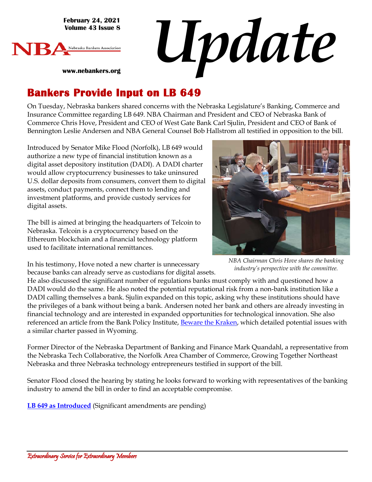**February 24, 2021 Volume 43 Issue 8**

**www.nebankers.org**



*Update*

# **Bankers Provide Input on LB 649**

On Tuesday, Nebraska bankers shared concerns with the Nebraska Legislature's Banking, Commerce and Insurance Committee regarding LB 649. NBA Chairman and President and CEO of Nebraska Bank of Commerce Chris Hove, President and CEO of West Gate Bank Carl Sjulin, President and CEO of Bank of Bennington Leslie Andersen and NBA General Counsel Bob Hallstrom all testified in opposition to the bill.

Introduced by Senator Mike Flood (Norfolk), LB 649 would authorize a new type of financial institution known as a digital asset depository institution (DADI). A DADI charter would allow cryptocurrency businesses to take uninsured U.S. dollar deposits from consumers, convert them to digital assets, conduct payments, connect them to lending and investment platforms, and provide custody services for digital assets.

The bill is aimed at bringing the headquarters of Telcoin to Nebraska. Telcoin is a cryptocurrency based on the Ethereum blockchain and a financial technology platform used to facilitate international remittances.



*NBA Chairman Chris Hove shares the banking industry's perspective with the committee.*

In his testimony, Hove noted a new charter is unnecessary because banks can already serve as custodians for digital assets.

He also discussed the significant number of regulations banks must comply with and questioned how a DADI would do the same. He also noted the potential reputational risk from a non-bank institution like a DADI calling themselves a bank. Sjulin expanded on this topic, asking why these institutions should have the privileges of a bank without being a bank. Andersen noted her bank and others are already investing in financial technology and are interested in expanded opportunities for technological innovation. She also referenced an article from the Bank Policy Institute, [Beware the Kraken,](https://bpi.com/beware-the-kraken/) which detailed potential issues with a similar charter passed in Wyoming.

Former Director of the Nebraska Department of Banking and Finance Mark Quandahl, a representative from the Nebraska Tech Collaborative, the Norfolk Area Chamber of Commerce, Growing Together Northeast Nebraska and three Nebraska technology entrepreneurs testified in support of the bill.

Senator Flood closed the hearing by stating he looks forward to working with representatives of the banking industry to amend the bill in order to find an acceptable compromise.

**LB [649 as Introduced](https://nebraskalegislature.gov/bills/view_bill.php?DocumentID=44186)** (Significant amendments are pending)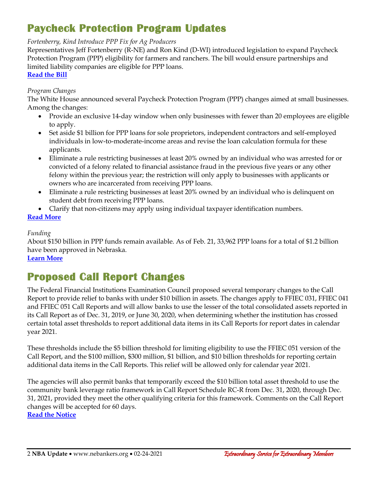## **Paycheck Protection Program Updates**

#### *Fortenberry, Kind Introduce PPP Fix for Ag Producers*

Representatives Jeff Fortenberry (R-NE) and Ron Kind (D-WI) introduced legislation to expand Paycheck Protection Program (PPP) eligibility for farmers and ranchers. The bill would ensure partnerships and limited liability companies are eligible for PPP loans. **[Read the Bill](https://kind.house.gov/sites/kind.house.gov/files/02232021_Paycheck_Protection_Clarification_for_Producers_Act.pdf)**

#### *Program Changes*

The White House announced several Paycheck Protection Program (PPP) changes aimed at small businesses. Among the changes:

- Provide an exclusive 14-day window when only businesses with fewer than 20 employees are eligible to apply.
- Set aside \$1 billion for PPP loans for sole proprietors, independent contractors and self-employed individuals in low-to-moderate-income areas and revise the loan calculation formula for these applicants.
- Eliminate a rule restricting businesses at least 20% owned by an individual who was arrested for or convicted of a felony related to financial assistance fraud in the previous five years or any other felony within the previous year; the restriction will only apply to businesses with applicants or owners who are incarcerated from receiving PPP loans.
- Eliminate a rule restricting businesses at least 20% owned by an individual who is delinquent on student debt from receiving PPP loans.
- Clarify that non-citizens may apply using individual taxpayer identification numbers.

### **[Read More](https://www.whitehouse.gov/briefing-room/statements-releases/2021/02/22/fact-sheet-biden-harris-administration-increases-lending-to-small-businesses-in-need-announces-changes-to-ppp-to-further-promote-equitable-access-to-relief/)**

#### *Funding*

About \$150 billion in PPP funds remain available. As of Feb. 21, 33,962 PPP loans for a total of \$1.2 billion have been approved in Nebraska.

### **[Learn More](https://www.sba.gov/sites/default/files/2021-02/PPP_Report_Public_210221-508.pdf)**

## **Proposed Call Report Changes**

The Federal Financial Institutions Examination Council proposed several temporary changes to the Call Report to provide relief to banks with under \$10 billion in assets. The changes apply to FFIEC 031, FFIEC 041 and FFIEC 051 Call Reports and will allow banks to use the lesser of the total consolidated assets reported in its Call Report as of Dec. 31, 2019, or June 30, 2020, when determining whether the institution has crossed certain total asset thresholds to report additional data items in its Call Reports for report dates in calendar year 2021.

These thresholds include the \$5 billion threshold for limiting eligibility to use the FFIEC 051 version of the Call Report, and the \$100 million, \$300 million, \$1 billion, and \$10 billion thresholds for reporting certain additional data items in the Call Reports. This relief will be allowed only for calendar year 2021.

The agencies will also permit banks that temporarily exceed the \$10 billion total asset threshold to use the community bank leverage ratio framework in Call Report Schedule RC-R from Dec. 31, 2020, through Dec. 31, 2021, provided they meet the other qualifying criteria for this framework. Comments on the Call Report changes will be accepted for 60 days.

**[Read the Notice](https://www.fdic.gov/news/financial-institution-letters/2021/fil21008.html)**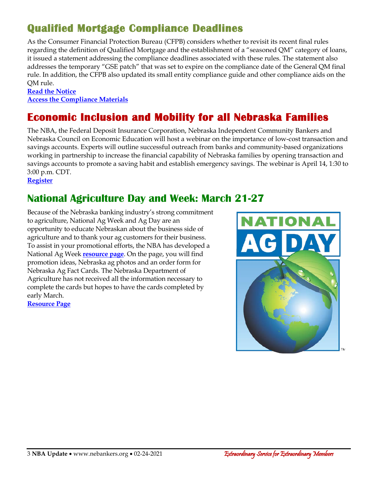## **Qualified Mortgage Compliance Deadlines**

As the Consumer Financial Protection Bureau (CFPB) considers whether to revisit its recent final rules regarding the definition of Qualified Mortgage and the establishment of a "seasoned QM" category of loans, it issued a statement addressing the compliance deadlines associated with these rules. The statement also addresses the temporary "GSE patch" that was set to expire on the compliance date of the General QM final rule. In addition, the CFPB also updated its small entity compliance guide and other compliance aids on the QM rule.

#### **[Read the Notice](https://www.fdic.gov/news/financial-institution-letters/2021/fil21008.html) [Access the Compliance Materials](https://www.consumerfinance.gov/compliance/compliance-resources/mortgage-resources/ability-repay-qualified-mortgage-rule/)**

## **Economic Inclusion and Mobility for all Nebraska Families**

The NBA, the Federal Deposit Insurance Corporation, Nebraska Independent Community Bankers and Nebraska Council on Economic Education will host a webinar on the importance of low-cost transaction and savings accounts. Experts will outline successful outreach from banks and community-based organizations working in partnership to increase the financial capability of Nebraska families by opening transaction and savings accounts to promote a saving habit and establish emergency savings. The webinar is April 14, 1:30 to 3:00 p.m. CDT.

**[Register](https://web.cvent.com/event/ff617a4d-c9d9-431d-aeba-5c5d5b34448b/regProcessStep1)**

### **National Agriculture Day and Week: March 21-27**

Because of the Nebraska banking industry's strong commitment to agriculture, National Ag Week and Ag Day are an opportunity to educate Nebraskan about the business side of agriculture and to thank your ag customers for their business. To assist in your promotional efforts, the NBA has developed a National Ag Week **[resource page](https://www.nebankers.org/agweek.html)**. On the page, you will find promotion ideas, Nebraska ag photos and an order form for Nebraska Ag Fact Cards. The Nebraska Department of Agriculture has not received all the information necessary to complete the cards but hopes to have the cards completed by early March.

**[Resource Page](https://www.nebankers.org/agweek.html)**